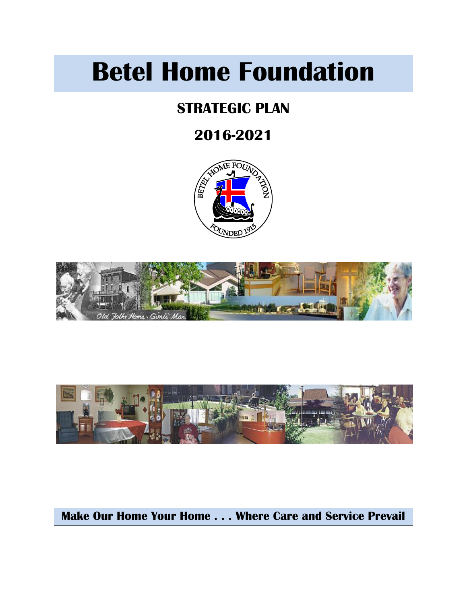# **Betel Home Foundation**

# **STRATEGIC PLAN**

# **2016-2021**







# **Make Our Home Your Home . . . Where Care and Service Prevail**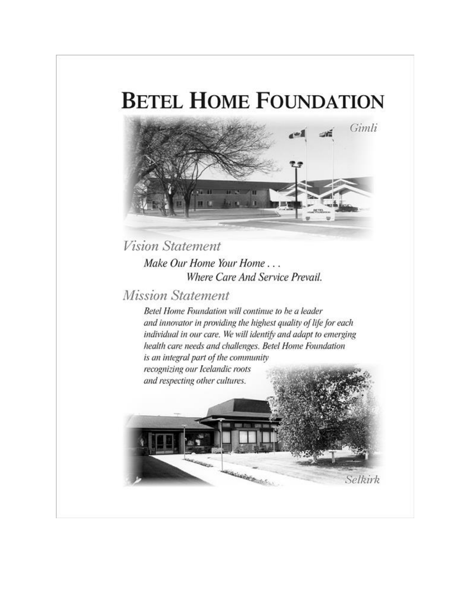# **BETEL HOME FOUNDATION**



**Vision Statement** Make Our Home Your Home... Where Care And Service Prevail.

## **Mission Statement**

Betel Home Foundation will continue to be a leader and innovator in providing the highest quality of life for each individual in our care. We will identify and adapt to emerging health care needs and challenges. Betel Home Foundation is an integral part of the community recognizing our Icelandic roots and respecting other cultures.

**SOLUTION PROPERTY AND** 

Selkirk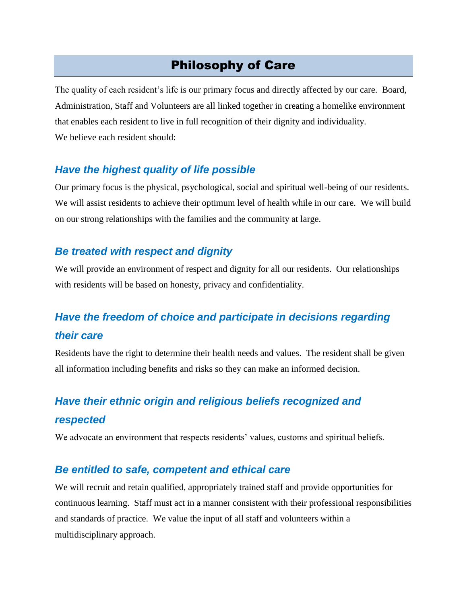## Philosophy of Care

The quality of each resident's life is our primary focus and directly affected by our care. Board, Administration, Staff and Volunteers are all linked together in creating a homelike environment that enables each resident to live in full recognition of their dignity and individuality. We believe each resident should:

### *Have the highest quality of life possible*

Our primary focus is the physical, psychological, social and spiritual well-being of our residents. We will assist residents to achieve their optimum level of health while in our care. We will build on our strong relationships with the families and the community at large.

### *Be treated with respect and dignity*

We will provide an environment of respect and dignity for all our residents. Our relationships with residents will be based on honesty, privacy and confidentiality.

## *Have the freedom of choice and participate in decisions regarding their care*

Residents have the right to determine their health needs and values. The resident shall be given all information including benefits and risks so they can make an informed decision.

# *Have their ethnic origin and religious beliefs recognized and respected*

We advocate an environment that respects residents' values, customs and spiritual beliefs.

#### *Be entitled to safe, competent and ethical care*

We will recruit and retain qualified, appropriately trained staff and provide opportunities for continuous learning. Staff must act in a manner consistent with their professional responsibilities and standards of practice. We value the input of all staff and volunteers within a multidisciplinary approach.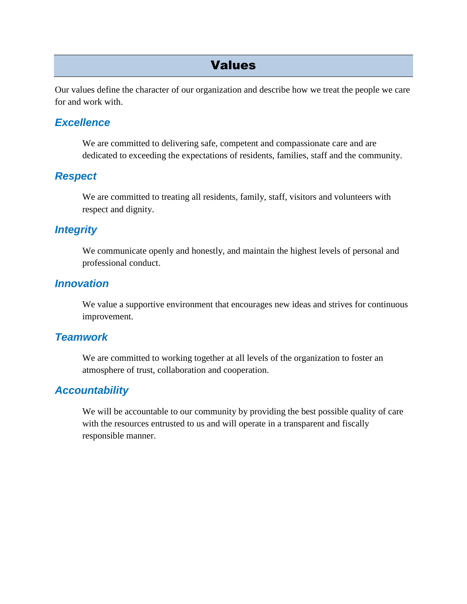## Values

Our values define the character of our organization and describe how we treat the people we care for and work with.

### *Excellence*

We are committed to delivering safe, competent and compassionate care and are dedicated to exceeding the expectations of residents, families, staff and the community.

### *Respect*

We are committed to treating all residents, family, staff, visitors and volunteers with respect and dignity.

### *Integrity*

We communicate openly and honestly, and maintain the highest levels of personal and professional conduct.

## *Innovation*

We value a supportive environment that encourages new ideas and strives for continuous improvement.

### *Teamwork*

We are committed to working together at all levels of the organization to foster an atmosphere of trust, collaboration and cooperation.

## *Accountability*

We will be accountable to our community by providing the best possible quality of care with the resources entrusted to us and will operate in a transparent and fiscally responsible manner.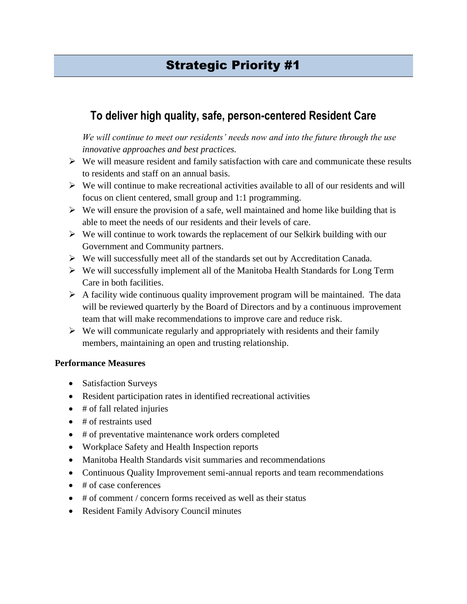## **To deliver high quality, safe, person-centered Resident Care**

*We will continue to meet our residents' needs now and into the future through the use innovative approaches and best practices.*

- $\triangleright$  We will measure resident and family satisfaction with care and communicate these results to residents and staff on an annual basis.
- $\triangleright$  We will continue to make recreational activities available to all of our residents and will focus on client centered, small group and 1:1 programming.
- $\triangleright$  We will ensure the provision of a safe, well maintained and home like building that is able to meet the needs of our residents and their levels of care.
- $\triangleright$  We will continue to work towards the replacement of our Selkirk building with our Government and Community partners.
- $\triangleright$  We will successfully meet all of the standards set out by Accreditation Canada.
- $\triangleright$  We will successfully implement all of the Manitoba Health Standards for Long Term Care in both facilities.
- $\triangleright$  A facility wide continuous quality improvement program will be maintained. The data will be reviewed quarterly by the Board of Directors and by a continuous improvement team that will make recommendations to improve care and reduce risk.
- $\triangleright$  We will communicate regularly and appropriately with residents and their family members, maintaining an open and trusting relationship.

- Satisfaction Surveys
- Resident participation rates in identified recreational activities
- $\bullet$  # of fall related injuries
- $\bullet$  # of restraints used
- # of preventative maintenance work orders completed
- Workplace Safety and Health Inspection reports
- Manitoba Health Standards visit summaries and recommendations
- Continuous Quality Improvement semi-annual reports and team recommendations
- $\bullet$  # of case conferences
- $\bullet$  # of comment / concern forms received as well as their status
- Resident Family Advisory Council minutes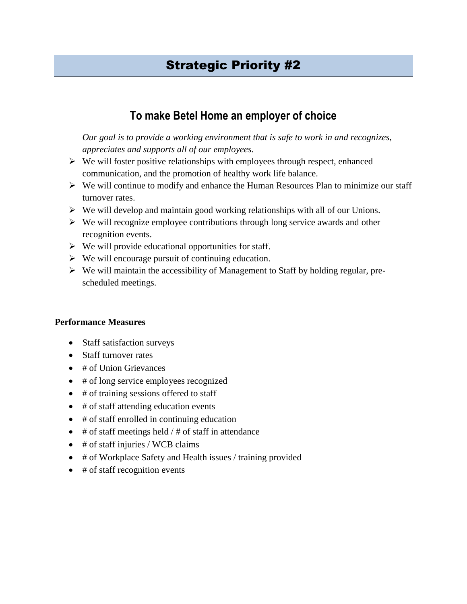## **To make Betel Home an employer of choice**

*Our goal is to provide a working environment that is safe to work in and recognizes, appreciates and supports all of our employees.*

- $\triangleright$  We will foster positive relationships with employees through respect, enhanced communication, and the promotion of healthy work life balance.
- $\triangleright$  We will continue to modify and enhance the Human Resources Plan to minimize our staff turnover rates.
- $\triangleright$  We will develop and maintain good working relationships with all of our Unions.
- $\triangleright$  We will recognize employee contributions through long service awards and other recognition events.
- $\triangleright$  We will provide educational opportunities for staff.
- $\triangleright$  We will encourage pursuit of continuing education.
- $\triangleright$  We will maintain the accessibility of Management to Staff by holding regular, prescheduled meetings.

- Staff satisfaction surveys
- Staff turnover rates
- # of Union Grievances
- # of long service employees recognized
- # of training sessions offered to staff
- # of staff attending education events
- # of staff enrolled in continuing education
- $\bullet$  # of staff meetings held / # of staff in attendance
- $\bullet$  # of staff injuries / WCB claims
- # of Workplace Safety and Health issues / training provided
- $\bullet$  # of staff recognition events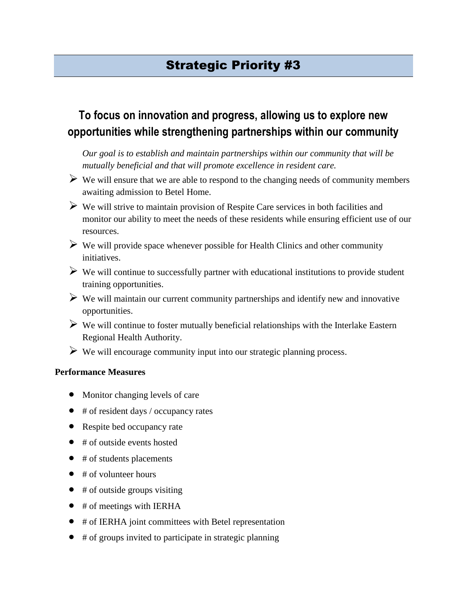## **To focus on innovation and progress, allowing us to explore new opportunities while strengthening partnerships within our community**

*Our goal is to establish and maintain partnerships within our community that will be mutually beneficial and that will promote excellence in resident care.*

- $\triangleright$  We will ensure that we are able to respond to the changing needs of community members awaiting admission to Betel Home.
- $\triangleright$  We will strive to maintain provision of Respite Care services in both facilities and monitor our ability to meet the needs of these residents while ensuring efficient use of our resources.
- $\triangleright$  We will provide space whenever possible for Health Clinics and other community initiatives.
- $\triangleright$  We will continue to successfully partner with educational institutions to provide student training opportunities.
- $\triangleright$  We will maintain our current community partnerships and identify new and innovative opportunities.
- $\triangleright$  We will continue to foster mutually beneficial relationships with the Interlake Eastern Regional Health Authority.
- $\triangleright$  We will encourage community input into our strategic planning process.

- Monitor changing levels of care
- # of resident days / occupancy rates
- Respite bed occupancy rate
- $\bullet$  # of outside events hosted
- $\bullet$  # of students placements
- $\bullet$  # of volunteer hours
- $\bullet$  # of outside groups visiting
- $\bullet$  # of meetings with IERHA
- # of IERHA joint committees with Betel representation
- $\bullet$  # of groups invited to participate in strategic planning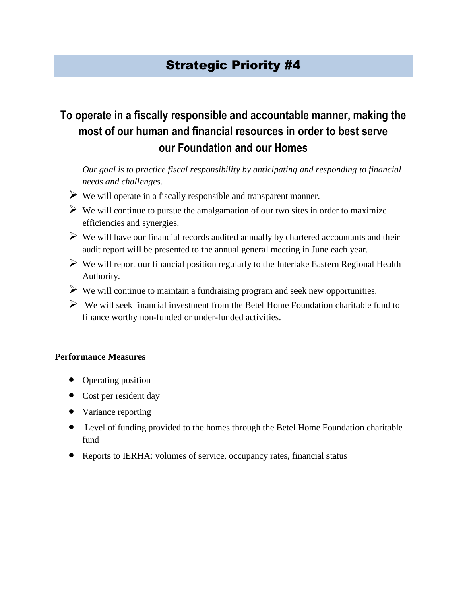# **To operate in a fiscally responsible and accountable manner, making the most of our human and financial resources in order to best serve our Foundation and our Homes**

*Our goal is to practice fiscal responsibility by anticipating and responding to financial needs and challenges.*

- $\triangleright$  We will operate in a fiscally responsible and transparent manner.
- $\triangleright$  We will continue to pursue the amalgamation of our two sites in order to maximize efficiencies and synergies.
- $\triangleright$  We will have our financial records audited annually by chartered accountants and their audit report will be presented to the annual general meeting in June each year.
- $\triangleright$  We will report our financial position regularly to the Interlake Eastern Regional Health Authority.
- $\triangleright$  We will continue to maintain a fundraising program and seek new opportunities.
- $\triangleright$  We will seek financial investment from the Betel Home Foundation charitable fund to finance worthy non-funded or under-funded activities.

- Operating position
- Cost per resident day
- Variance reporting
- Level of funding provided to the homes through the Betel Home Foundation charitable fund
- Reports to IERHA: volumes of service, occupancy rates, financial status